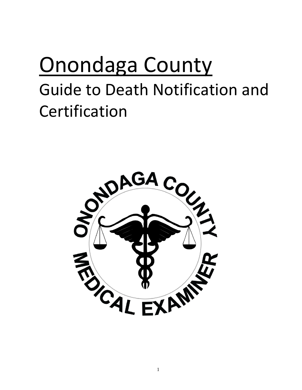# **Onondaga County** Guide to Death Notification and Certification

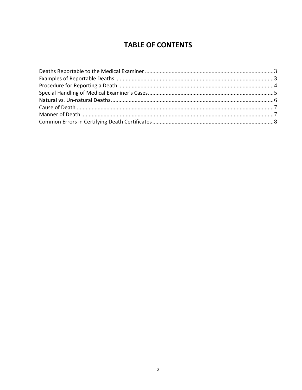# **TABLE OF CONTENTS**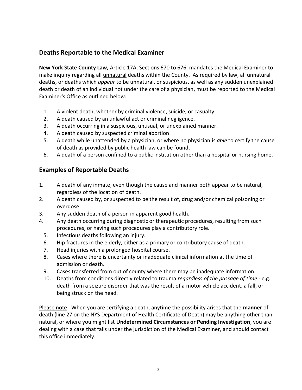## <span id="page-2-0"></span>**Deaths Reportable to the Medical Examiner**

**New York State County Law,** Article 17A, Sections 670 to 676, mandates the Medical Examiner to make inquiry regarding all unnatural deaths within the County. As required by law, all unnatural deaths, or deaths which *appear* to be unnatural, or suspicious, as well as any sudden unexplained death or death of an individual not under the care of a physician, must be reported to the Medical Examiner's Office as outlined below:

- 1. A violent death, whether by criminal violence, suicide, or casualty
- 2. A death caused by an unlawful act or criminal negligence.
- 3. A death occurring in a suspicious, unusual, or unexplained manner.
- 4. A death caused by suspected criminal abortion
- 5. A death while unattended by a physician, or where no physician is *able* to certify the cause of death as provided by public health law can be found.
- 6. A death of a person confined to a public institution other than a hospital or nursing home.

## <span id="page-2-1"></span>**Examples of Reportable Deaths**

- 1. A death of any inmate, even though the cause and manner both appear to be natural, regardless of the location of death.
- 2. A death caused by, or suspected to be the result of, drug and/or chemical poisoning or overdose.
- 3. Any sudden death of a person in apparent good health.
- 4. Any death occurring during diagnostic or therapeutic procedures, resulting from such procedures, or having such procedures play a contributory role.
	- 5. Infectious deaths following an injury.
	- 6. Hip fractures in the elderly, either as a primary or contributory cause of death.
	- 7. Head injuries with a prolonged hospital course.
	- 8. Cases where there is uncertainty or inadequate clinical information at the time of admission or death.
	- 9. Cases transferred from out of county where there may be inadequate information.
	- 10. Deaths from conditions directly related to trauma *regardless of the passage of time* e.g. death from a seizure disorder that was the result of a motor vehicle accident, a fall, or being struck on the head.

Please note: When you are certifying a death, anytime the possibility arises that the **manner** of death (line 27 on the NYS Department of Health Certificate of Death) may be anything other than natural, or where you might list **Undetermined Circumstances or Pending Investigation**, you are dealing with a case that falls under the jurisdiction of the Medical Examiner, and should contact this office immediately.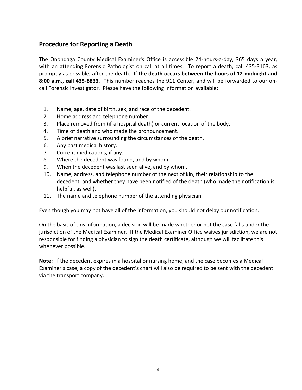#### <span id="page-3-0"></span>**Procedure for Reporting a Death**

The Onondaga County Medical Examiner's Office is accessible 24-hours-a-day, 365 days a year, with an attending Forensic Pathologist on call at all times. To report a death, call 435-3163, as promptly as possible, after the death. **If the death occurs between the hours of 12 midnight and 8:00 a.m., call 435-8833**. This number reaches the 911 Center, and will be forwarded to our oncall Forensic Investigator. Please have the following information available:

- 1. Name, age, date of birth, sex, and race of the decedent.
- 2. Home address and telephone number.
- 3. Place removed from (if a hospital death) or current location of the body.
- 4. Time of death and who made the pronouncement.
- 5. A brief narrative surrounding the circumstances of the death.
- 6. Any past medical history.
- 7. Current medications, if any.
- 8. Where the decedent was found, and by whom.
- 9. When the decedent was last seen alive, and by whom.
- 10. Name, address, and telephone number of the next of kin, their relationship to the decedent, and whether they have been notified of the death (who made the notification is helpful, as well).
- 11. The name and telephone number of the attending physician.

Even though you may not have all of the information, you should not delay our notification.

On the basis of this information, a decision will be made whether or not the case falls under the jurisdiction of the Medical Examiner. If the Medical Examiner Office waives jurisdiction, we are not responsible for finding a physician to sign the death certificate, although we will facilitate this whenever possible.

**Note:** If the decedent expires in a hospital or nursing home, and the case becomes a Medical Examiner's case, a copy of the decedent's chart will also be required to be sent with the decedent via the transport company.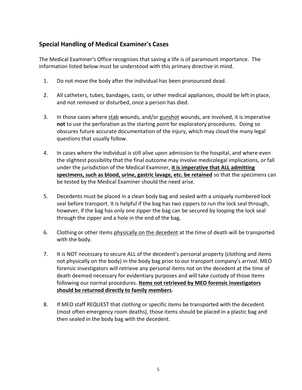# <span id="page-4-0"></span>**Special Handling of Medical Examiner's Cases**

The Medical Examiner's Office recognizes that saving a life is of paramount importance. The information listed below must be understood with this primary directive in mind.

- 1. Do not move the body after the individual has been pronounced dead.
- 2. All catheters, tubes, bandages, casts, or other medical appliances, should be left in place, and not removed or disturbed, once a person has died.
- 3. In those cases where stab wounds, and/or gunshot wounds, are involved, it is imperative **not** to use the perforation as the starting point for exploratory procedures. Doing so obscures future accurate documentation of the injury, which may cloud the many legal questions that usually follow.
- 4. In cases where the individual is still alive upon admission to the hospital, and where even the slightest possibility that the final outcome may involve medicolegal implications, or fall under the jurisdiction of the Medical Examiner, **it is imperative that ALL admitting specimens, such as blood, urine, gastric lavage, etc. be retained** so that the specimens can be tested by the Medical Examiner should the need arise.
- 5. Decedents must be placed in a clean body bag and sealed with a uniquely numbered lock seal before transport. It is helpful if the bag has two zippers to run the lock seal through, however, if the bag has only one zipper the bag can be secured by looping the lock seal through the zipper and a hole in the end of the bag.
- 6. Clothing or other items physically on the decedent at the time of death will be transported with the body.
- 7. It is NOT necessary to secure ALL of the decedent's personal property (clothing and items not physically on the body) in the body bag prior to our transport company's arrival. MEO forensic investigators will retrieve any personal items not on the decedent at the time of death deemed necessary for evidentiary purposes and will take custody of those items following our normal procedures. **Items not retrieved by MEO forensic investigators should be returned directly to family members**.
- 8. If MEO staff REQUEST that clothing or specific items be transported with the decedent (most often emergency room deaths), those items should be placed in a plastic bag and then sealed in the body bag with the decedent.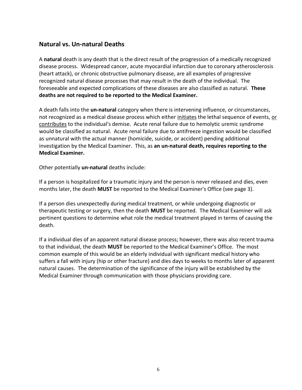#### <span id="page-5-0"></span>**Natural vs. Un-natural Deaths**

A **natural** death is any death that is the direct result of the progression of a medically recognized disease process. Widespread cancer, acute myocardial infarction due to coronary atherosclerosis (heart attack), or chronic obstructive pulmonary disease, are all examples of progressive recognized natural disease processes that may result in the death of the individual. The foreseeable and expected complications of these diseases are also classified as natural. **These deaths are not required to be reported to the Medical Examiner.**

A death falls into the **un-natural** category when there is intervening influence, or circumstances, not recognized as a medical disease process which either initiates the lethal sequence of events, or contributes to the individual's demise. Acute renal failure due to hemolytic uremic syndrome would be classified as natural. Acute renal failure due to antifreeze ingestion would be classified as unnatural with the actual manner (homicide, suicide, or accident) pending additional investigation by the Medical Examiner. This, as **an un-natural death, requires reporting to the Medical Examiner.**

Other potentially **un-natural** deaths include:

If a person is hospitalized for a traumatic injury and the person is never released and dies, even months later, the death **MUST** be reported to the Medical Examiner's Office (see page 3).

If a person dies unexpectedly during medical treatment, or while undergoing diagnostic or therapeutic testing or surgery, then the death **MUST** be reported. The Medical Examiner will ask pertinent questions to determine what role the medical treatment played in terms of causing the death.

If a individual dies of an apparent natural disease process; however, there was also recent trauma to that individual, the death **MUST** be reported to the Medical Examiner's Office. The most common example of this would be an elderly individual with significant medical history who suffers a fall with injury (hip or other fracture) and dies days to weeks to months later of apparent natural causes. The determination of the significance of the injury will be established by the Medical Examiner through communication with those physicians providing care.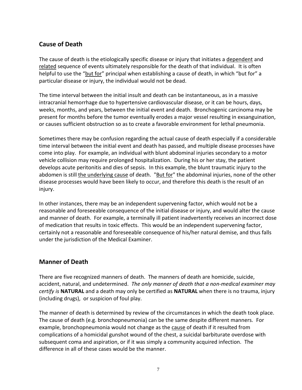## <span id="page-6-0"></span>**Cause of Death**

The cause of death is the etiologically specific disease or injury that initiates a dependent and related sequence of events ultimately responsible for the death of that individual. It is often helpful to use the "but for" principal when establishing a cause of death, in which "but for" a particular disease or injury, the individual would not be dead.

The time interval between the initial insult and death can be instantaneous, as in a massive intracranial hemorrhage due to hypertensive cardiovascular disease, or it can be hours, days, weeks, months, and years, between the initial event and death. Bronchogenic carcinoma may be present for months before the tumor eventually erodes a major vessel resulting in exsanguination, or causes sufficient obstruction so as to create a favorable environment for lethal pneumonia.

Sometimes there may be confusion regarding the actual cause of death especially if a considerable time interval between the initial event and death has passed, and multiple disease processes have come into play. For example, an individual with blunt abdominal injuries secondary to a motor vehicle collision may require prolonged hospitalization. During his or her stay, the patient develops acute peritonitis and dies of sepsis. In this example, the blunt traumatic injury to the abdomen is still the underlying cause of death. "But for" the abdominal injuries, none of the other disease processes would have been likely to occur, and therefore this death is the result of an injury.

In other instances, there may be an independent supervening factor, which would not be a reasonable and foreseeable consequence of the initial disease or injury, and would alter the cause and manner of death. For example, a terminally ill patient inadvertently receives an incorrect dose of medication that results in toxic effects. This would be an independent supervening factor, certainly not a reasonable and foreseeable consequence of his/her natural demise, and thus falls under the jurisdiction of the Medical Examiner.

## <span id="page-6-1"></span>**Manner of Death**

There are five recognized manners of death. The manners of death are homicide, suicide, accident, natural, and undetermined. *The only manner of death that a non-medical examiner may certify is* **NATURAL** and a death may only be certified as **NATURAL** when there is no trauma, injury (including drugs), or suspicion of foul play.

The manner of death is determined by review of the circumstances in which the death took place. The cause of death (e.g. bronchopneumonia) can be the same despite different manners. For example, bronchopneumonia would not change as the cause of death if it resulted from complications of a homicidal gunshot wound of the chest, a suicidal barbiturate overdose with subsequent coma and aspiration, or if it was simply a community acquired infection. The difference in all of these cases would be the manner.